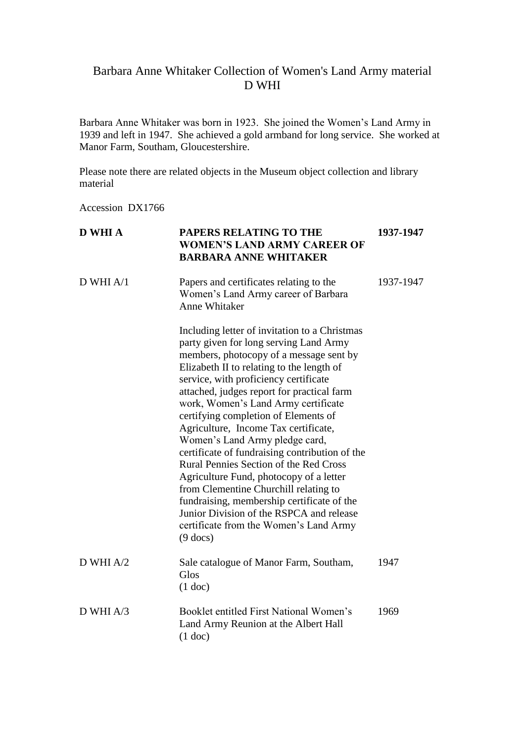## Barbara Anne Whitaker Collection of Women's Land Army material D WHI

Barbara Anne Whitaker was born in 1923. She joined the Women's Land Army in 1939 and left in 1947. She achieved a gold armband for long service. She worked at Manor Farm, Southam, Gloucestershire.

Please note there are related objects in the Museum object collection and library material

Accession DX1766

| <b>D WHI A</b> | PAPERS RELATING TO THE<br><b>WOMEN'S LAND ARMY CAREER OF</b><br><b>BARBARA ANNE WHITAKER</b>                                                                                                                                                                                                                                                                                                                                                                                                                                                                                                                                                                                                                                                                             | 1937-1947 |
|----------------|--------------------------------------------------------------------------------------------------------------------------------------------------------------------------------------------------------------------------------------------------------------------------------------------------------------------------------------------------------------------------------------------------------------------------------------------------------------------------------------------------------------------------------------------------------------------------------------------------------------------------------------------------------------------------------------------------------------------------------------------------------------------------|-----------|
| $D$ WHI $A/1$  | Papers and certificates relating to the<br>Women's Land Army career of Barbara<br><b>Anne Whitaker</b>                                                                                                                                                                                                                                                                                                                                                                                                                                                                                                                                                                                                                                                                   | 1937-1947 |
|                | Including letter of invitation to a Christmas<br>party given for long serving Land Army<br>members, photocopy of a message sent by<br>Elizabeth II to relating to the length of<br>service, with proficiency certificate<br>attached, judges report for practical farm<br>work, Women's Land Army certificate<br>certifying completion of Elements of<br>Agriculture, Income Tax certificate,<br>Women's Land Army pledge card,<br>certificate of fundraising contribution of the<br><b>Rural Pennies Section of the Red Cross</b><br>Agriculture Fund, photocopy of a letter<br>from Clementine Churchill relating to<br>fundraising, membership certificate of the<br>Junior Division of the RSPCA and release<br>certificate from the Women's Land Army<br>$(9$ docs) |           |
| $D$ WHI A/2    | Sale catalogue of Manor Farm, Southam,<br>Glos<br>$(1$ doc)                                                                                                                                                                                                                                                                                                                                                                                                                                                                                                                                                                                                                                                                                                              | 1947      |
| $D$ WHI A/3    | Booklet entitled First National Women's<br>Land Army Reunion at the Albert Hall<br>$(1$ doc)                                                                                                                                                                                                                                                                                                                                                                                                                                                                                                                                                                                                                                                                             | 1969      |